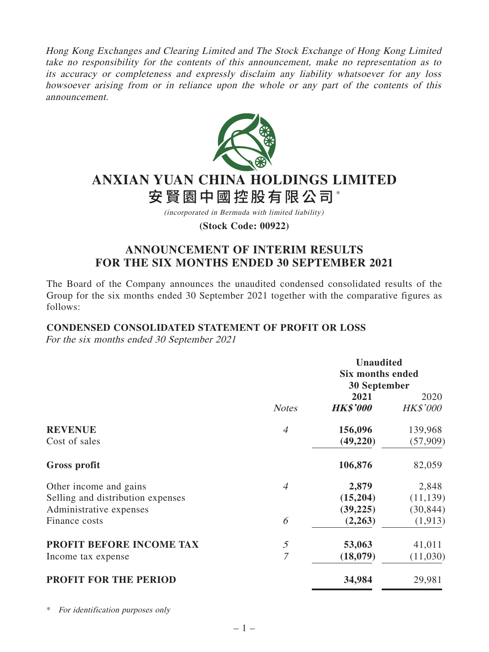Hong Kong Exchanges and Clearing Limited and The Stock Exchange of Hong Kong Limited take no responsibility for the contents of this announcement, make no representation as to its accuracy or completeness and expressly disclaim any liability whatsoever for any loss howsoever arising from or in reliance upon the whole or any part of the contents of this announcement.



# **ANXIAN YUAN CHINA HOLDINGS LIMITED** 安賢園中國控股有限公司\*

(incorporated in Bermuda with limited liability)

**(Stock Code: 00922)**

# **ANNOUNCEMENT OF INTERIM RESULTS FOR THE SIX MONTHS ENDED 30 SEPTEMBER 2021**

The Board of the Company announces the unaudited condensed consolidated results of the Group for the six months ended 30 September 2021 together with the comparative figures as follows:

# **CONDENSED CONSOLIDATED STATEMENT OF PROFIT OR LOSS**

For the six months ended 30 September 2021

|                                   |                | <b>Unaudited</b><br><b>Six months ended</b><br><b>30 September</b> |                         |
|-----------------------------------|----------------|--------------------------------------------------------------------|-------------------------|
|                                   | <b>Notes</b>   | 2021<br><b>HK\$'000</b>                                            | 2020<br><b>HK\$'000</b> |
| <b>REVENUE</b>                    | $\overline{A}$ | 156,096                                                            | 139,968                 |
| Cost of sales                     |                | (49,220)                                                           | (57,909)                |
| Gross profit                      |                | 106,876                                                            | 82,059                  |
| Other income and gains            | $\overline{A}$ | 2,879                                                              | 2,848                   |
| Selling and distribution expenses |                | (15,204)                                                           | (11, 139)               |
| Administrative expenses           |                | (39, 225)                                                          | (30, 844)               |
| Finance costs                     | 6              | (2,263)                                                            | (1, 913)                |
| PROFIT BEFORE INCOME TAX          | 5              | 53,063                                                             | 41,011                  |
| Income tax expense                | $\overline{7}$ | (18,079)                                                           | (11,030)                |
| <b>PROFIT FOR THE PERIOD</b>      |                | 34,984                                                             | 29,981                  |

\* For identification purposes only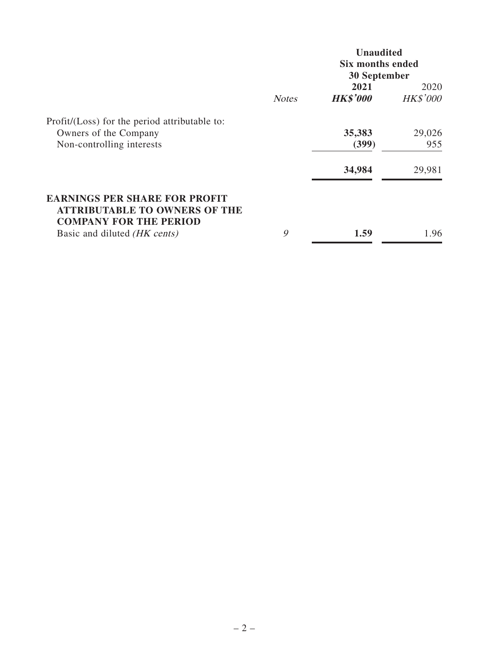|                                                                                                               |              | <b>Unaudited</b><br><b>Six months ended</b><br><b>30 September</b> |                         |
|---------------------------------------------------------------------------------------------------------------|--------------|--------------------------------------------------------------------|-------------------------|
|                                                                                                               | <b>Notes</b> | 2021<br><b>HK\$'000</b>                                            | 2020<br><b>HK\$'000</b> |
| Profit/(Loss) for the period attributable to:                                                                 |              |                                                                    |                         |
| Owners of the Company                                                                                         |              | 35,383                                                             | 29,026                  |
| Non-controlling interests                                                                                     |              | (399)                                                              | 955                     |
|                                                                                                               |              | 34,984                                                             | 29,981                  |
| <b>EARNINGS PER SHARE FOR PROFIT</b><br><b>ATTRIBUTABLE TO OWNERS OF THE</b><br><b>COMPANY FOR THE PERIOD</b> |              |                                                                    |                         |
| Basic and diluted (HK cents)                                                                                  | 9            | 1.59                                                               | 1.96                    |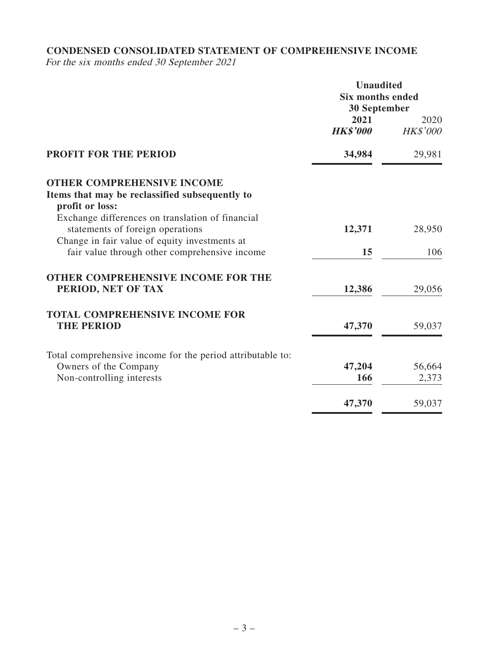# **CONDENSED CONSOLIDATED STATEMENT OF COMPREHENSIVE INCOME**

For the six months ended 30 September 2021

|                                                                                                                                       | <b>Unaudited</b><br><b>Six months ended</b><br><b>30 September</b> |                  |
|---------------------------------------------------------------------------------------------------------------------------------------|--------------------------------------------------------------------|------------------|
|                                                                                                                                       | 2021<br><b>HK\$'000</b>                                            | 2020<br>HK\$'000 |
| <b>PROFIT FOR THE PERIOD</b>                                                                                                          | 34,984                                                             | 29,981           |
| <b>OTHER COMPREHENSIVE INCOME</b><br>Items that may be reclassified subsequently to<br>profit or loss:                                |                                                                    |                  |
| Exchange differences on translation of financial<br>statements of foreign operations<br>Change in fair value of equity investments at | 12,371                                                             | 28,950           |
| fair value through other comprehensive income                                                                                         | 15                                                                 | 106              |
| <b>OTHER COMPREHENSIVE INCOME FOR THE</b><br>PERIOD, NET OF TAX                                                                       | 12,386                                                             | 29,056           |
| <b>TOTAL COMPREHENSIVE INCOME FOR</b><br><b>THE PERIOD</b>                                                                            | 47,370                                                             | 59,037           |
| Total comprehensive income for the period attributable to:<br>Owners of the Company<br>Non-controlling interests                      | 47,204<br>166                                                      | 56,664<br>2,373  |
|                                                                                                                                       | 47,370                                                             | 59,037           |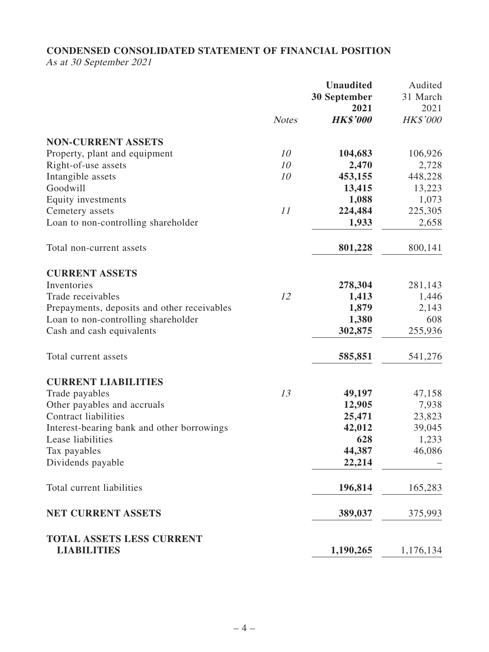# **CONDENSED CONSOLIDATED STATEMENT OF FINANCIAL POSITION**

As at 30 September 2021

|                                             |              | <b>Unaudited</b><br><b>30 September</b><br>2021 | Audited<br>31 March<br>2021 |
|---------------------------------------------|--------------|-------------------------------------------------|-----------------------------|
|                                             | <b>Notes</b> | <b>HK\$'000</b>                                 | <b>HK\$'000</b>             |
| <b>NON-CURRENT ASSETS</b>                   |              |                                                 |                             |
| Property, plant and equipment               | 10           | 104,683                                         | 106,926                     |
| Right-of-use assets                         | 10           | 2,470                                           | 2,728                       |
| Intangible assets                           | 10           | 453,155                                         | 448,228                     |
| Goodwill                                    |              | 13,415                                          | 13,223                      |
| Equity investments                          |              | 1,088                                           | 1,073                       |
| Cemetery assets                             | 11           | 224,484                                         | 225,305                     |
| Loan to non-controlling shareholder         |              | 1,933                                           | 2,658                       |
| Total non-current assets                    |              | 801,228                                         | 800,141                     |
| <b>CURRENT ASSETS</b>                       |              |                                                 |                             |
| Inventories                                 |              | 278,304                                         | 281,143                     |
| Trade receivables                           | 12           | 1,413                                           | 1,446                       |
| Prepayments, deposits and other receivables |              | 1,879                                           | 2,143                       |
| Loan to non-controlling shareholder         |              | 1,380                                           | 608                         |
| Cash and cash equivalents                   |              | 302,875                                         | 255,936                     |
| Total current assets                        |              | 585,851                                         | 541,276                     |
| <b>CURRENT LIABILITIES</b>                  |              |                                                 |                             |
| Trade payables                              | 13           | 49,197                                          | 47,158                      |
| Other payables and accruals                 |              | 12,905                                          | 7,938                       |
| <b>Contract liabilities</b>                 |              | 25,471                                          | 23,823                      |
| Interest-bearing bank and other borrowings  |              | 42,012                                          | 39,045                      |
| Lease liabilities                           |              | 628                                             | 1,233                       |
| Tax payables                                |              | 44,387                                          | 46,086                      |
| Dividends payable                           |              | 22,214                                          |                             |
| Total current liabilities                   |              | 196,814                                         | 165,283                     |
| <b>NET CURRENT ASSETS</b>                   |              | 389,037                                         | 375,993                     |
| <b>TOTAL ASSETS LESS CURRENT</b>            |              |                                                 |                             |
| <b>LIABILITIES</b>                          |              | 1,190,265                                       | 1,176,134                   |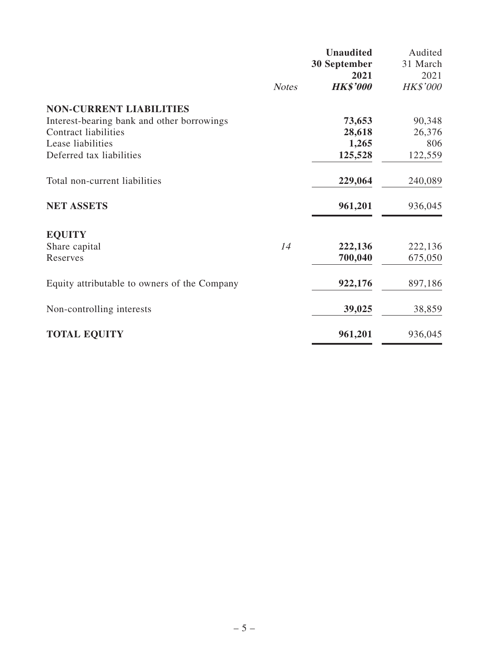|                                              |              | <b>Unaudited</b> | Audited  |
|----------------------------------------------|--------------|------------------|----------|
|                                              |              | 30 September     | 31 March |
|                                              |              | 2021             | 2021     |
|                                              | <b>Notes</b> | <b>HK\$'000</b>  | HK\$'000 |
| <b>NON-CURRENT LIABILITIES</b>               |              |                  |          |
| Interest-bearing bank and other borrowings   |              | 73,653           | 90,348   |
| <b>Contract liabilities</b>                  |              | 28,618           | 26,376   |
| Lease liabilities                            |              | 1,265            | 806      |
| Deferred tax liabilities                     |              | 125,528          | 122,559  |
| Total non-current liabilities                |              | 229,064          | 240,089  |
| <b>NET ASSETS</b>                            |              | 961,201          | 936,045  |
| <b>EQUITY</b>                                |              |                  |          |
| Share capital                                | 14           | 222,136          | 222,136  |
| Reserves                                     |              | 700,040          | 675,050  |
| Equity attributable to owners of the Company |              | 922,176          | 897,186  |
| Non-controlling interests                    |              | 39,025           | 38,859   |
|                                              |              |                  |          |
| <b>TOTAL EQUITY</b>                          |              | 961,201          | 936,045  |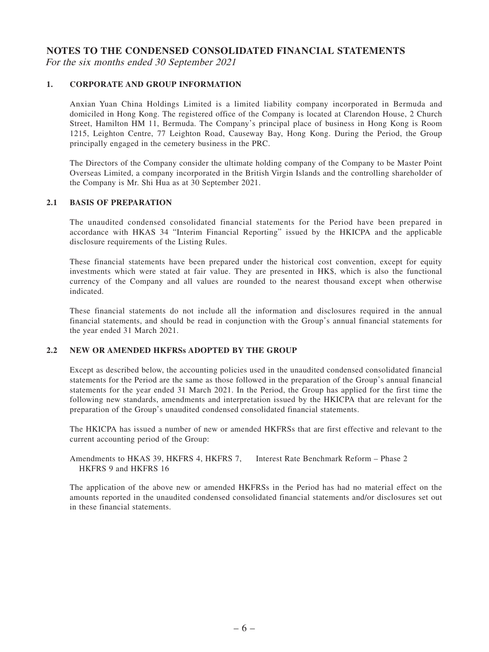## **NOTES TO THE CONDENSED CONSOLIDATED FINANCIAL STATEMENTS**

For the six months ended 30 September 2021

## **1. CORPORATE AND GROUP INFORMATION**

Anxian Yuan China Holdings Limited is a limited liability company incorporated in Bermuda and domiciled in Hong Kong. The registered office of the Company is located at Clarendon House, 2 Church Street, Hamilton HM 11, Bermuda. The Company's principal place of business in Hong Kong is Room 1215, Leighton Centre, 77 Leighton Road, Causeway Bay, Hong Kong. During the Period, the Group principally engaged in the cemetery business in the PRC.

The Directors of the Company consider the ultimate holding company of the Company to be Master Point Overseas Limited, a company incorporated in the British Virgin Islands and the controlling shareholder of the Company is Mr. Shi Hua as at 30 September 2021.

### **2.1 BASIS OF PREPARATION**

The unaudited condensed consolidated financial statements for the Period have been prepared in accordance with HKAS 34 "Interim Financial Reporting" issued by the HKICPA and the applicable disclosure requirements of the Listing Rules.

These financial statements have been prepared under the historical cost convention, except for equity investments which were stated at fair value. They are presented in HK\$, which is also the functional currency of the Company and all values are rounded to the nearest thousand except when otherwise indicated.

These financial statements do not include all the information and disclosures required in the annual financial statements, and should be read in conjunction with the Group's annual financial statements for the year ended 31 March 2021.

### **2.2 NEW OR AMENDED HKFRSs ADOPTED BY THE GROUP**

Except as described below, the accounting policies used in the unaudited condensed consolidated financial statements for the Period are the same as those followed in the preparation of the Group's annual financial statements for the year ended 31 March 2021. In the Period, the Group has applied for the first time the following new standards, amendments and interpretation issued by the HKICPA that are relevant for the preparation of the Group's unaudited condensed consolidated financial statements.

The HKICPA has issued a number of new or amended HKFRSs that are first effective and relevant to the current accounting period of the Group:

Amendments to HKAS 39, HKFRS 4, HKFRS 7, HKFRS 9 and HKFRS 16 Interest Rate Benchmark Reform – Phase 2

The application of the above new or amended HKFRSs in the Period has had no material effect on the amounts reported in the unaudited condensed consolidated financial statements and/or disclosures set out in these financial statements.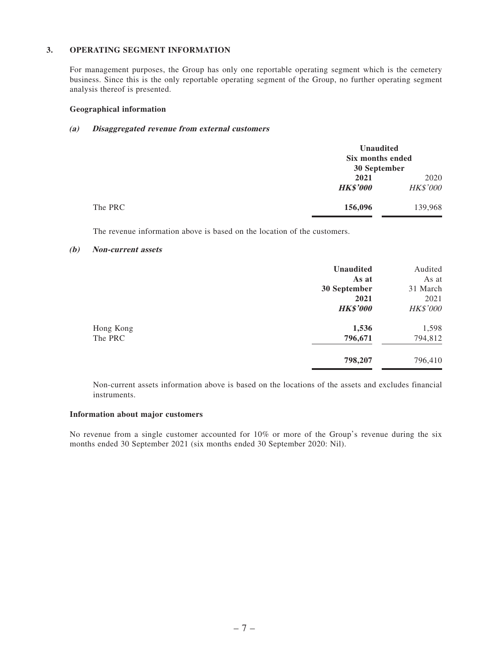### **3. OPERATING SEGMENT INFORMATION**

For management purposes, the Group has only one reportable operating segment which is the cemetery business. Since this is the only reportable operating segment of the Group, no further operating segment analysis thereof is presented.

#### **Geographical information**

## **(a) Disaggregated revenue from external customers**

|         | <b>Unaudited</b><br>Six months ended<br>30 September |                  |
|---------|------------------------------------------------------|------------------|
|         | 2021<br><b>HK\$'000</b>                              | 2020<br>HK\$'000 |
| The PRC | 156,096                                              | 139,968          |

The revenue information above is based on the location of the customers.

#### **(b) Non-current assets**

|           | <b>Unaudited</b> | Audited         |
|-----------|------------------|-----------------|
|           | As at            | As at           |
|           | 30 September     | 31 March        |
|           | 2021             | 2021            |
|           | <b>HK\$'000</b>  | <b>HK\$'000</b> |
| Hong Kong | 1,536            | 1,598           |
| The PRC   | 796,671          | 794,812         |
|           | 798,207          | 796,410         |

Non-current assets information above is based on the locations of the assets and excludes financial instruments.

#### **Information about major customers**

No revenue from a single customer accounted for 10% or more of the Group's revenue during the six months ended 30 September 2021 (six months ended 30 September 2020: Nil).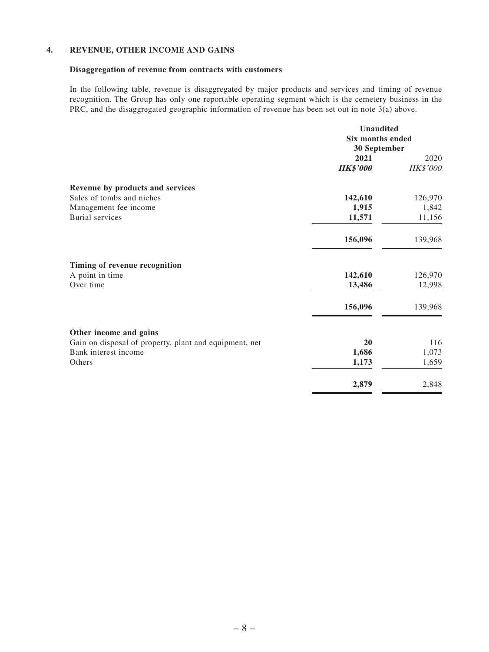## **4. REVENUE, OTHER INCOME AND GAINS**

## **Disaggregation of revenue from contracts with customers**

In the following table, revenue is disaggregated by major products and services and timing of revenue recognition. The Group has only one reportable operating segment which is the cemetery business in the PRC, and the disaggregated geographic information of revenue has been set out in note 3(a) above.

|                                                        | <b>Unaudited</b><br><b>Six months ended</b><br>30 September |          |
|--------------------------------------------------------|-------------------------------------------------------------|----------|
|                                                        |                                                             |          |
|                                                        |                                                             |          |
|                                                        | 2021                                                        | 2020     |
|                                                        | <b>HK\$'000</b>                                             | HK\$'000 |
| Revenue by products and services                       |                                                             |          |
| Sales of tombs and niches                              | 142,610                                                     | 126,970  |
| Management fee income                                  | 1,915                                                       | 1,842    |
| <b>Burial</b> services                                 | 11,571                                                      | 11,156   |
|                                                        | 156,096                                                     | 139,968  |
| Timing of revenue recognition                          |                                                             |          |
| A point in time                                        | 142,610                                                     | 126,970  |
| Over time                                              | 13,486                                                      | 12,998   |
|                                                        | 156,096                                                     | 139,968  |
| Other income and gains                                 |                                                             |          |
| Gain on disposal of property, plant and equipment, net | 20                                                          | 116      |
| Bank interest income                                   | 1,686                                                       | 1,073    |
| Others                                                 | 1,173                                                       | 1,659    |
|                                                        | 2,879                                                       | 2,848    |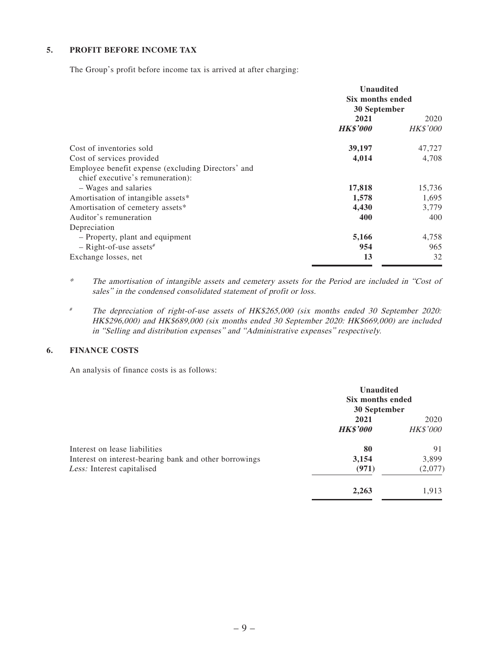## **5. PROFIT BEFORE INCOME TAX**

The Group's profit before income tax is arrived at after charging:

|                                                                                        | <b>Unaudited</b><br>Six months ended<br>30 September |                         |
|----------------------------------------------------------------------------------------|------------------------------------------------------|-------------------------|
|                                                                                        | 2021<br><b>HK\$'000</b>                              | 2020<br><b>HK\$'000</b> |
| Cost of inventories sold                                                               | 39,197                                               | 47,727                  |
| Cost of services provided                                                              | 4,014                                                | 4,708                   |
| Employee benefit expense (excluding Directors' and<br>chief executive's remuneration): |                                                      |                         |
| - Wages and salaries                                                                   | 17,818                                               | 15,736                  |
| Amortisation of intangible assets*                                                     | 1,578                                                | 1,695                   |
| Amortisation of cemetery assets*                                                       | 4,430                                                | 3,779                   |
| Auditor's remuneration                                                                 | 400                                                  | 400                     |
| Depreciation                                                                           |                                                      |                         |
| - Property, plant and equipment                                                        | 5,166                                                | 4,758                   |
| $-$ Right-of-use assets#                                                               | 954                                                  | 965                     |
| Exchange losses, net                                                                   | 13                                                   | 32                      |

\* The amortisation of intangible assets and cemetery assets for the Period are included in "Cost of sales" in the condensed consolidated statement of profit or loss.

# The depreciation of right-of-use assets of HK\$265,000 (six months ended 30 September 2020: HK\$296,000) and HK\$689,000 (six months ended 30 September 2020: HK\$669,000) are included in "Selling and distribution expenses" and "Administrative expenses" respectively.

#### **6. FINANCE COSTS**

An analysis of finance costs is as follows:

|                                                                                         | <b>Unaudited</b><br>Six months ended<br>30 September |                         |
|-----------------------------------------------------------------------------------------|------------------------------------------------------|-------------------------|
|                                                                                         | 2021<br><b>HK\$'000</b>                              | 2020<br><b>HK\$'000</b> |
| Interest on lease liabilities<br>Interest on interest-bearing bank and other borrowings | 80<br>3,154                                          | 91<br>3,899             |
| Less: Interest capitalised                                                              | (971)                                                | (2,077)                 |
|                                                                                         | 2,263                                                | 1,913                   |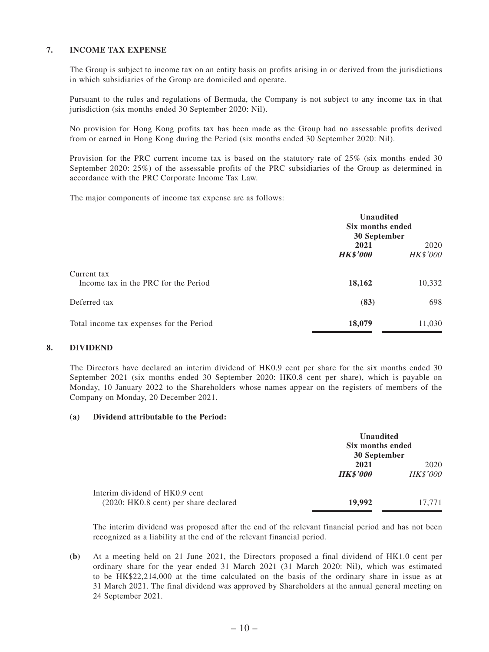## **7. INCOME TAX EXPENSE**

The Group is subject to income tax on an entity basis on profits arising in or derived from the jurisdictions in which subsidiaries of the Group are domiciled and operate.

Pursuant to the rules and regulations of Bermuda, the Company is not subject to any income tax in that jurisdiction (six months ended 30 September 2020: Nil).

No provision for Hong Kong profits tax has been made as the Group had no assessable profits derived from or earned in Hong Kong during the Period (six months ended 30 September 2020: Nil).

Provision for the PRC current income tax is based on the statutory rate of 25% (six months ended 30 September 2020: 25%) of the assessable profits of the PRC subsidiaries of the Group as determined in accordance with the PRC Corporate Income Tax Law.

The major components of income tax expense are as follows:

|                                                     | <b>Unaudited</b><br>Six months ended<br>30 September |                         |
|-----------------------------------------------------|------------------------------------------------------|-------------------------|
|                                                     | 2021<br><b>HK\$'000</b>                              | 2020<br><b>HK\$'000</b> |
| Current tax<br>Income tax in the PRC for the Period | 18,162                                               | 10,332                  |
| Deferred tax                                        | (83)                                                 | 698                     |
| Total income tax expenses for the Period            | 18,079                                               | 11,030                  |

#### **8. DIVIDEND**

The Directors have declared an interim dividend of HK0.9 cent per share for the six months ended 30 September 2021 (six months ended 30 September 2020: HK0.8 cent per share), which is payable on Monday, 10 January 2022 to the Shareholders whose names appear on the registers of members of the Company on Monday, 20 December 2021.

#### **(a) Dividend attributable to the Period:**

|                                                                         | <b>Unaudited</b><br>Six months ended<br>30 September |                         |
|-------------------------------------------------------------------------|------------------------------------------------------|-------------------------|
|                                                                         | 2021<br><b>HK\$'000</b>                              | 2020<br><b>HK\$'000</b> |
| Interim dividend of HK0.9 cent<br>(2020: HK0.8 cent) per share declared | 19,992                                               | 17,771                  |

The interim dividend was proposed after the end of the relevant financial period and has not been recognized as a liability at the end of the relevant financial period.

**(b)** At a meeting held on 21 June 2021, the Directors proposed a final dividend of HK1.0 cent per ordinary share for the year ended 31 March 2021 (31 March 2020: Nil), which was estimated to be HK\$22,214,000 at the time calculated on the basis of the ordinary share in issue as at 31 March 2021. The final dividend was approved by Shareholders at the annual general meeting on 24 September 2021.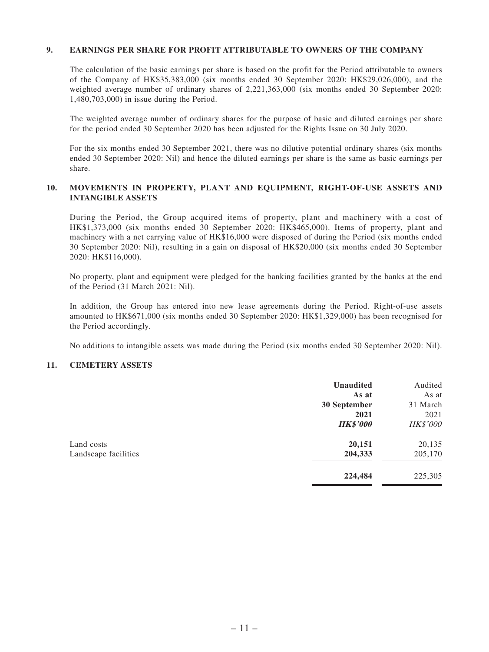## **9. EARNINGS PER SHARE FOR PROFIT ATTRIBUTABLE TO OWNERS OF THE COMPANY**

The calculation of the basic earnings per share is based on the profit for the Period attributable to owners of the Company of HK\$35,383,000 (six months ended 30 September 2020: HK\$29,026,000), and the weighted average number of ordinary shares of 2,221,363,000 (six months ended 30 September 2020: 1,480,703,000) in issue during the Period.

The weighted average number of ordinary shares for the purpose of basic and diluted earnings per share for the period ended 30 September 2020 has been adjusted for the Rights Issue on 30 July 2020.

For the six months ended 30 September 2021, there was no dilutive potential ordinary shares (six months ended 30 September 2020: Nil) and hence the diluted earnings per share is the same as basic earnings per share.

## **10. MOVEMENTS IN PROPERTY, PLANT AND EQUIPMENT, RIGHT-OF-USE ASSETS AND INTANGIBLE ASSETS**

During the Period, the Group acquired items of property, plant and machinery with a cost of HK\$1,373,000 (six months ended 30 September 2020: HK\$465,000). Items of property, plant and machinery with a net carrying value of HK\$16,000 were disposed of during the Period (six months ended 30 September 2020: Nil), resulting in a gain on disposal of HK\$20,000 (six months ended 30 September 2020: HK\$116,000).

No property, plant and equipment were pledged for the banking facilities granted by the banks at the end of the Period (31 March 2021: Nil).

In addition, the Group has entered into new lease agreements during the Period. Right-of-use assets amounted to HK\$671,000 (six months ended 30 September 2020: HK\$1,329,000) has been recognised for the Period accordingly.

No additions to intangible assets was made during the Period (six months ended 30 September 2020: Nil).

### **11. CEMETERY ASSETS**

|                      | <b>Unaudited</b> | Audited         |
|----------------------|------------------|-----------------|
|                      | As at            | As at           |
|                      | 30 September     | 31 March        |
|                      | 2021             | 2021            |
|                      | <b>HK\$'000</b>  | <b>HK\$'000</b> |
| Land costs           | 20,151           | 20,135          |
| Landscape facilities | 204,333          | 205,170         |
|                      | 224,484          | 225,305         |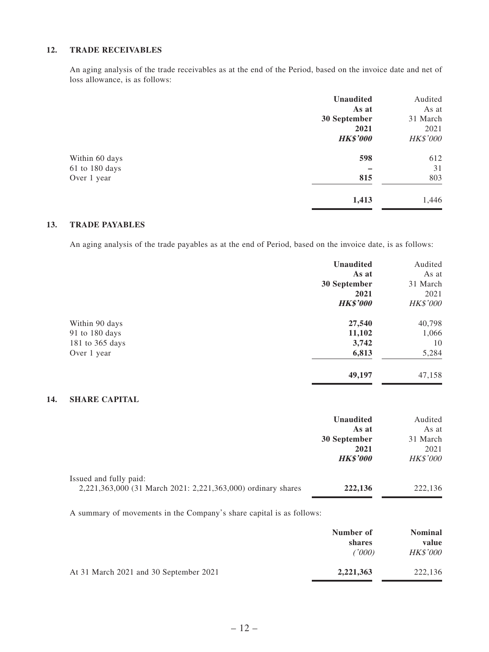## **12. TRADE RECEIVABLES**

An aging analysis of the trade receivables as at the end of the Period, based on the invoice date and net of loss allowance, is as follows:

|                | <b>Unaudited</b> | Audited  |
|----------------|------------------|----------|
|                | As at            | As at    |
|                | 30 September     | 31 March |
|                | 2021             | 2021     |
|                | <b>HK\$'000</b>  | HK\$'000 |
| Within 60 days | 598              | 612      |
| 61 to 180 days |                  | 31       |
| Over 1 year    | 815              | 803      |
|                | 1,413            | 1,446    |

## **13. TRADE PAYABLES**

An aging analysis of the trade payables as at the end of Period, based on the invoice date, is as follows:

|                 | <b>Unaudited</b> | Audited         |
|-----------------|------------------|-----------------|
|                 | As at            | As at           |
|                 | 30 September     | 31 March        |
|                 | 2021             | 2021            |
|                 | <b>HK\$'000</b>  | <b>HK\$'000</b> |
| Within 90 days  | 27,540           | 40,798          |
| 91 to 180 days  | 11,102           | 1,066           |
| 181 to 365 days | 3,742            | 10              |
| Over 1 year     | 6,813            | 5,284           |
|                 | 49,197           | 47,158          |

## **14. SHARE CAPITAL**

|                                                              | <b>Unaudited</b> | Audited         |
|--------------------------------------------------------------|------------------|-----------------|
|                                                              | As at            | As at           |
|                                                              | 30 September     | 31 March        |
|                                                              | 2021             | 2021            |
|                                                              | <b>HK\$'000</b>  | <b>HK\$'000</b> |
| Issued and fully paid:                                       |                  |                 |
| 2,221,363,000 (31 March 2021: 2,221,363,000) ordinary shares | 222,136          | 222,136         |

A summary of movements in the Company's share capital is as follows:

|                                        | Number of<br>shares<br>(1000) | <b>Nominal</b><br>value<br><b>HK\$'000</b> |
|----------------------------------------|-------------------------------|--------------------------------------------|
| At 31 March 2021 and 30 September 2021 | 2,221,363                     | 222,136                                    |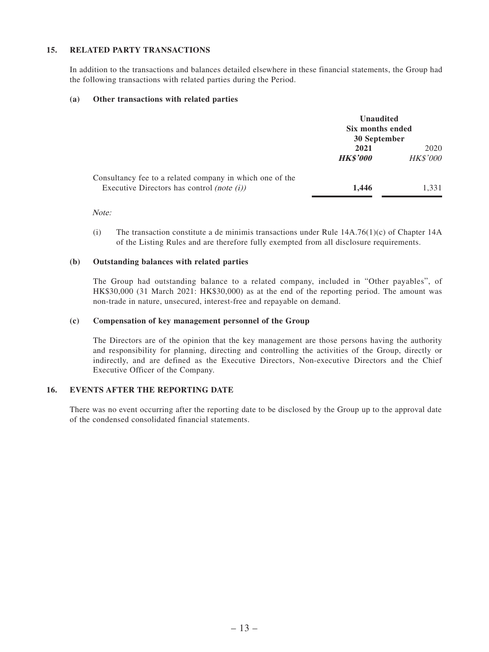## **15. RELATED PARTY TRANSACTIONS**

In addition to the transactions and balances detailed elsewhere in these financial statements, the Group had the following transactions with related parties during the Period.

#### **(a) Other transactions with related parties**

|                                                                                                           | <b>Unaudited</b><br>Six months ended<br>30 September |                         |
|-----------------------------------------------------------------------------------------------------------|------------------------------------------------------|-------------------------|
|                                                                                                           | 2021<br><b>HK\$'000</b>                              | 2020<br><b>HK\$'000</b> |
| Consultancy fee to a related company in which one of the<br>Executive Directors has control (note $(i)$ ) | 1.446                                                | 1.331                   |

Note:

(i) The transaction constitute a de minimis transactions under Rule  $14A.76(1)(c)$  of Chapter 14A of the Listing Rules and are therefore fully exempted from all disclosure requirements.

#### **(b) Outstanding balances with related parties**

The Group had outstanding balance to a related company, included in "Other payables", of HK\$30,000 (31 March 2021: HK\$30,000) as at the end of the reporting period. The amount was non-trade in nature, unsecured, interest-free and repayable on demand.

#### **(c) Compensation of key management personnel of the Group**

The Directors are of the opinion that the key management are those persons having the authority and responsibility for planning, directing and controlling the activities of the Group, directly or indirectly, and are defined as the Executive Directors, Non-executive Directors and the Chief Executive Officer of the Company.

## **16. EVENTS AFTER THE REPORTING DATE**

There was no event occurring after the reporting date to be disclosed by the Group up to the approval date of the condensed consolidated financial statements.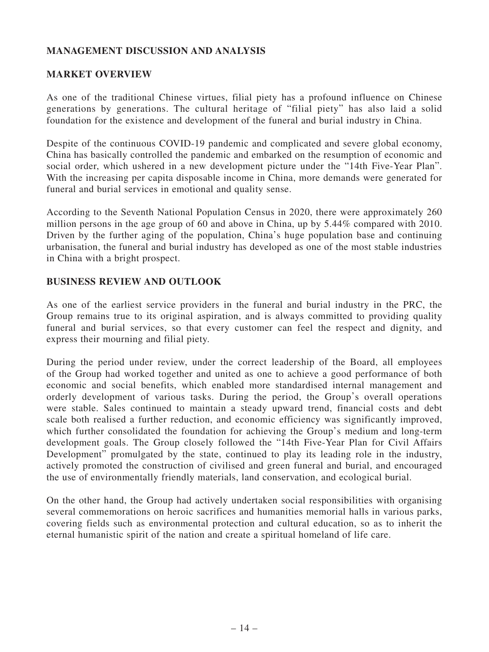# **MANAGEMENT DISCUSSION AND ANALYSIS**

# **MARKET OVERVIEW**

As one of the traditional Chinese virtues, filial piety has a profound influence on Chinese generations by generations. The cultural heritage of "filial piety" has also laid a solid foundation for the existence and development of the funeral and burial industry in China.

Despite of the continuous COVID-19 pandemic and complicated and severe global economy, China has basically controlled the pandemic and embarked on the resumption of economic and social order, which ushered in a new development picture under the "14th Five-Year Plan". With the increasing per capita disposable income in China, more demands were generated for funeral and burial services in emotional and quality sense.

According to the Seventh National Population Census in 2020, there were approximately 260 million persons in the age group of 60 and above in China, up by 5.44% compared with 2010. Driven by the further aging of the population, China's huge population base and continuing urbanisation, the funeral and burial industry has developed as one of the most stable industries in China with a bright prospect.

# **BUSINESS REVIEW AND OUTLOOK**

As one of the earliest service providers in the funeral and burial industry in the PRC, the Group remains true to its original aspiration, and is always committed to providing quality funeral and burial services, so that every customer can feel the respect and dignity, and express their mourning and filial piety.

During the period under review, under the correct leadership of the Board, all employees of the Group had worked together and united as one to achieve a good performance of both economic and social benefits, which enabled more standardised internal management and orderly development of various tasks. During the period, the Group's overall operations were stable. Sales continued to maintain a steady upward trend, financial costs and debt scale both realised a further reduction, and economic efficiency was significantly improved, which further consolidated the foundation for achieving the Group's medium and long-term development goals. The Group closely followed the "14th Five-Year Plan for Civil Affairs Development" promulgated by the state, continued to play its leading role in the industry, actively promoted the construction of civilised and green funeral and burial, and encouraged the use of environmentally friendly materials, land conservation, and ecological burial.

On the other hand, the Group had actively undertaken social responsibilities with organising several commemorations on heroic sacrifices and humanities memorial halls in various parks, covering fields such as environmental protection and cultural education, so as to inherit the eternal humanistic spirit of the nation and create a spiritual homeland of life care.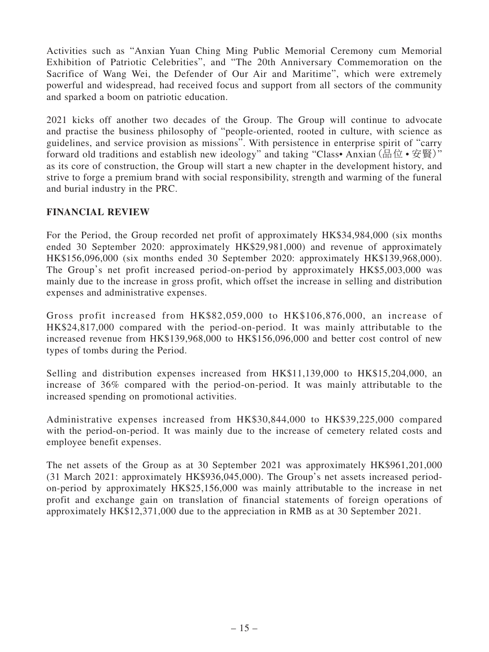Activities such as "Anxian Yuan Ching Ming Public Memorial Ceremony cum Memorial Exhibition of Patriotic Celebrities", and "The 20th Anniversary Commemoration on the Sacrifice of Wang Wei, the Defender of Our Air and Maritime", which were extremely powerful and widespread, had received focus and support from all sectors of the community and sparked a boom on patriotic education.

2021 kicks off another two decades of the Group. The Group will continue to advocate and practise the business philosophy of "people-oriented, rooted in culture, with science as guidelines, and service provision as missions". With persistence in enterprise spirit of "carry forward old traditions and establish new ideology" and taking "Class• Anxian (品位 • 安賢)" as its core of construction, the Group will start a new chapter in the development history, and strive to forge a premium brand with social responsibility, strength and warming of the funeral and burial industry in the PRC.

# **FINANCIAL REVIEW**

For the Period, the Group recorded net profit of approximately HK\$34,984,000 (six months ended 30 September 2020: approximately HK\$29,981,000) and revenue of approximately HK\$156,096,000 (six months ended 30 September 2020: approximately HK\$139,968,000). The Group's net profit increased period-on-period by approximately HK\$5,003,000 was mainly due to the increase in gross profit, which offset the increase in selling and distribution expenses and administrative expenses.

Gross profit increased from HK\$82,059,000 to HK\$106,876,000, an increase of HK\$24,817,000 compared with the period-on-period. It was mainly attributable to the increased revenue from HK\$139,968,000 to HK\$156,096,000 and better cost control of new types of tombs during the Period.

Selling and distribution expenses increased from HK\$11,139,000 to HK\$15,204,000, an increase of 36% compared with the period-on-period. It was mainly attributable to the increased spending on promotional activities.

Administrative expenses increased from HK\$30,844,000 to HK\$39,225,000 compared with the period-on-period. It was mainly due to the increase of cemetery related costs and employee benefit expenses.

The net assets of the Group as at 30 September 2021 was approximately HK\$961,201,000 (31 March 2021: approximately HK\$936,045,000). The Group's net assets increased periodon-period by approximately HK\$25,156,000 was mainly attributable to the increase in net profit and exchange gain on translation of financial statements of foreign operations of approximately HK\$12,371,000 due to the appreciation in RMB as at 30 September 2021.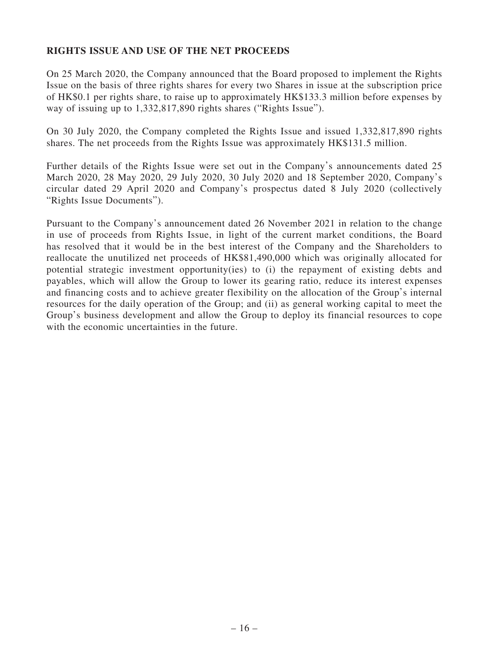# **RIGHTS ISSUE AND USE OF THE NET PROCEEDS**

On 25 March 2020, the Company announced that the Board proposed to implement the Rights Issue on the basis of three rights shares for every two Shares in issue at the subscription price of HK\$0.1 per rights share, to raise up to approximately HK\$133.3 million before expenses by way of issuing up to 1,332,817,890 rights shares ("Rights Issue").

On 30 July 2020, the Company completed the Rights Issue and issued 1,332,817,890 rights shares. The net proceeds from the Rights Issue was approximately HK\$131.5 million.

Further details of the Rights Issue were set out in the Company's announcements dated 25 March 2020, 28 May 2020, 29 July 2020, 30 July 2020 and 18 September 2020, Company's circular dated 29 April 2020 and Company's prospectus dated 8 July 2020 (collectively "Rights Issue Documents").

Pursuant to the Company's announcement dated 26 November 2021 in relation to the change in use of proceeds from Rights Issue, in light of the current market conditions, the Board has resolved that it would be in the best interest of the Company and the Shareholders to reallocate the unutilized net proceeds of HK\$81,490,000 which was originally allocated for potential strategic investment opportunity(ies) to (i) the repayment of existing debts and payables, which will allow the Group to lower its gearing ratio, reduce its interest expenses and financing costs and to achieve greater flexibility on the allocation of the Group's internal resources for the daily operation of the Group; and (ii) as general working capital to meet the Group's business development and allow the Group to deploy its financial resources to cope with the economic uncertainties in the future.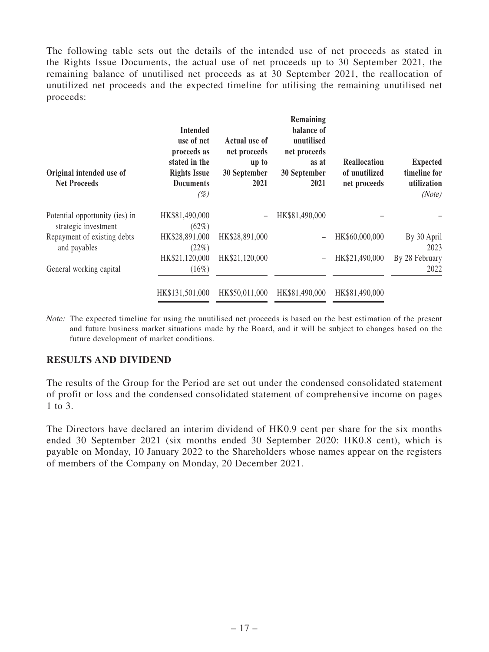The following table sets out the details of the intended use of net proceeds as stated in the Rights Issue Documents, the actual use of net proceeds up to 30 September 2021, the remaining balance of unutilised net proceeds as at 30 September 2021, the reallocation of unutilized net proceeds and the expected timeline for utilising the remaining unutilised net proceeds:

| Original intended use of<br><b>Net Proceeds</b>        | <b>Intended</b><br>use of net<br>proceeds as<br>stated in the<br><b>Rights Issue</b><br><b>Documents</b><br>$(\%)$ | Actual use of<br>net proceeds<br>up to<br>30 September<br>2021 | Remaining<br>balance of<br>unutilised<br>net proceeds<br>as at<br>30 September<br>2021 | <b>Reallocation</b><br>of unutilized<br>net proceeds | <b>Expected</b><br>timeline for<br>utilization<br>(Note) |
|--------------------------------------------------------|--------------------------------------------------------------------------------------------------------------------|----------------------------------------------------------------|----------------------------------------------------------------------------------------|------------------------------------------------------|----------------------------------------------------------|
| Potential opportunity (ies) in<br>strategic investment | HK\$81,490,000<br>$(62\%)$                                                                                         |                                                                | HK\$81,490,000                                                                         |                                                      |                                                          |
| Repayment of existing debts<br>and payables            | HK\$28,891,000<br>(22%)                                                                                            | HK\$28,891,000                                                 |                                                                                        | HK\$60,000,000                                       | By 30 April<br>2023                                      |
| General working capital                                | HK\$21,120,000<br>(16%)                                                                                            | HK\$21,120,000                                                 |                                                                                        | HK\$21,490,000                                       | By 28 February<br>2022                                   |
|                                                        | HK\$131,501,000                                                                                                    | HK\$50,011,000                                                 | HK\$81,490,000                                                                         | HK\$81,490,000                                       |                                                          |

Note: The expected timeline for using the unutilised net proceeds is based on the best estimation of the present and future business market situations made by the Board, and it will be subject to changes based on the future development of market conditions.

# **RESULTS AND DIVIDEND**

The results of the Group for the Period are set out under the condensed consolidated statement of profit or loss and the condensed consolidated statement of comprehensive income on pages 1 to 3.

The Directors have declared an interim dividend of HK0.9 cent per share for the six months ended 30 September 2021 (six months ended 30 September 2020: HK0.8 cent), which is payable on Monday, 10 January 2022 to the Shareholders whose names appear on the registers of members of the Company on Monday, 20 December 2021.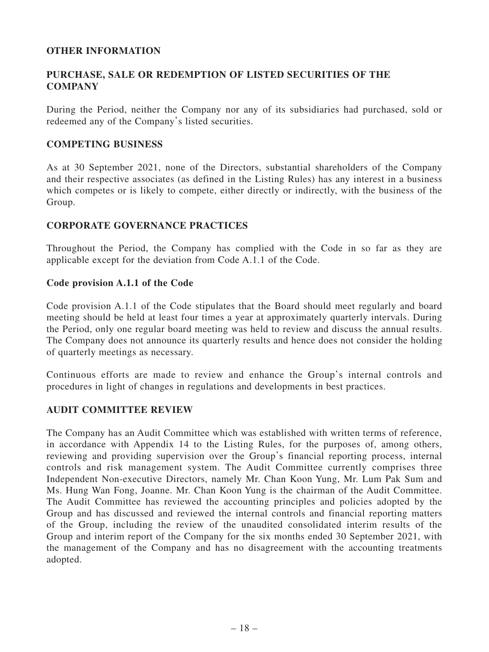# **OTHER INFORMATION**

# **PURCHASE, SALE OR REDEMPTION OF LISTED SECURITIES OF THE COMPANY**

During the Period, neither the Company nor any of its subsidiaries had purchased, sold or redeemed any of the Company's listed securities.

# **COMPETING BUSINESS**

As at 30 September 2021, none of the Directors, substantial shareholders of the Company and their respective associates (as defined in the Listing Rules) has any interest in a business which competes or is likely to compete, either directly or indirectly, with the business of the Group.

# **CORPORATE GOVERNANCE PRACTICES**

Throughout the Period, the Company has complied with the Code in so far as they are applicable except for the deviation from Code A.1.1 of the Code.

# **Code provision A.1.1 of the Code**

Code provision A.1.1 of the Code stipulates that the Board should meet regularly and board meeting should be held at least four times a year at approximately quarterly intervals. During the Period, only one regular board meeting was held to review and discuss the annual results. The Company does not announce its quarterly results and hence does not consider the holding of quarterly meetings as necessary.

Continuous efforts are made to review and enhance the Group's internal controls and procedures in light of changes in regulations and developments in best practices.

# **AUDIT COMMITTEE REVIEW**

The Company has an Audit Committee which was established with written terms of reference, in accordance with Appendix 14 to the Listing Rules, for the purposes of, among others, reviewing and providing supervision over the Group's financial reporting process, internal controls and risk management system. The Audit Committee currently comprises three Independent Non-executive Directors, namely Mr. Chan Koon Yung, Mr. Lum Pak Sum and Ms. Hung Wan Fong, Joanne. Mr. Chan Koon Yung is the chairman of the Audit Committee. The Audit Committee has reviewed the accounting principles and policies adopted by the Group and has discussed and reviewed the internal controls and financial reporting matters of the Group, including the review of the unaudited consolidated interim results of the Group and interim report of the Company for the six months ended 30 September 2021, with the management of the Company and has no disagreement with the accounting treatments adopted.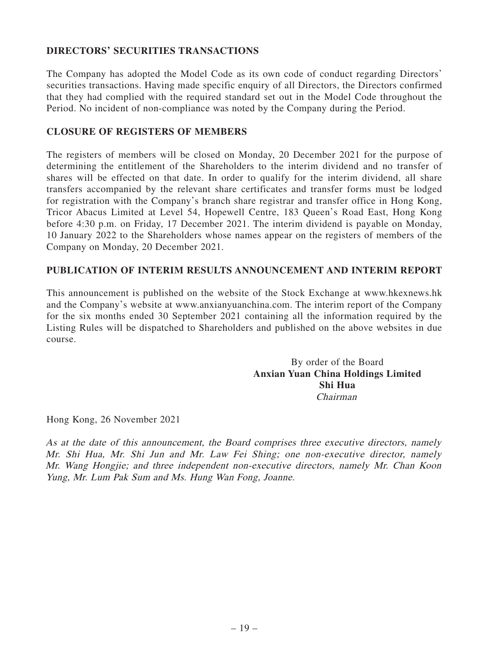# **DIRECTORS' SECURITIES TRANSACTIONS**

The Company has adopted the Model Code as its own code of conduct regarding Directors' securities transactions. Having made specific enquiry of all Directors, the Directors confirmed that they had complied with the required standard set out in the Model Code throughout the Period. No incident of non-compliance was noted by the Company during the Period.

# **CLOSURE OF REGISTERS OF MEMBERS**

The registers of members will be closed on Monday, 20 December 2021 for the purpose of determining the entitlement of the Shareholders to the interim dividend and no transfer of shares will be effected on that date. In order to qualify for the interim dividend, all share transfers accompanied by the relevant share certificates and transfer forms must be lodged for registration with the Company's branch share registrar and transfer office in Hong Kong, Tricor Abacus Limited at Level 54, Hopewell Centre, 183 Queen's Road East, Hong Kong before 4:30 p.m. on Friday, 17 December 2021. The interim dividend is payable on Monday, 10 January 2022 to the Shareholders whose names appear on the registers of members of the Company on Monday, 20 December 2021.

# **PUBLICATION OF INTERIM RESULTS ANNOUNCEMENT AND INTERIM REPORT**

This announcement is published on the website of the Stock Exchange at www.hkexnews.hk and the Company's website at www.anxianyuanchina.com. The interim report of the Company for the six months ended 30 September 2021 containing all the information required by the Listing Rules will be dispatched to Shareholders and published on the above websites in due course.

> By order of the Board **Anxian Yuan China Holdings Limited Shi Hua** Chairman

Hong Kong, 26 November 2021

As at the date of this announcement, the Board comprises three executive directors, namely Mr. Shi Hua, Mr. Shi Jun and Mr. Law Fei Shing; one non-executive director, namely Mr. Wang Hongjie; and three independent non-executive directors, namely Mr. Chan Koon Yung, Mr. Lum Pak Sum and Ms. Hung Wan Fong, Joanne.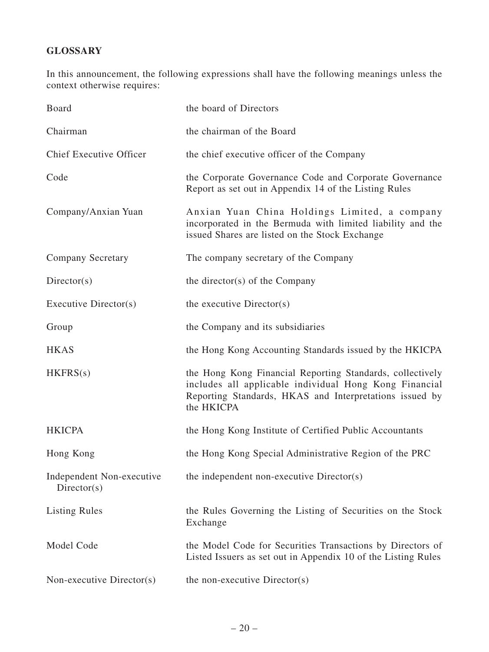# **GLOSSARY**

In this announcement, the following expressions shall have the following meanings unless the context otherwise requires:

| Board                                     | the board of Directors                                                                                                                                                                       |
|-------------------------------------------|----------------------------------------------------------------------------------------------------------------------------------------------------------------------------------------------|
| Chairman                                  | the chairman of the Board                                                                                                                                                                    |
| <b>Chief Executive Officer</b>            | the chief executive officer of the Company                                                                                                                                                   |
| Code                                      | the Corporate Governance Code and Corporate Governance<br>Report as set out in Appendix 14 of the Listing Rules                                                                              |
| Company/Anxian Yuan                       | Anxian Yuan China Holdings Limited, a company<br>incorporated in the Bermuda with limited liability and the<br>issued Shares are listed on the Stock Exchange                                |
| <b>Company Secretary</b>                  | The company secretary of the Company                                                                                                                                                         |
| Directory(s)                              | the director(s) of the Company                                                                                                                                                               |
| Executive Director(s)                     | the executive Director(s)                                                                                                                                                                    |
| Group                                     | the Company and its subsidiaries                                                                                                                                                             |
| <b>HKAS</b>                               | the Hong Kong Accounting Standards issued by the HKICPA                                                                                                                                      |
| HKFRS(s)                                  | the Hong Kong Financial Reporting Standards, collectively<br>includes all applicable individual Hong Kong Financial<br>Reporting Standards, HKAS and Interpretations issued by<br>the HKICPA |
| <b>HKICPA</b>                             | the Hong Kong Institute of Certified Public Accountants                                                                                                                                      |
| Hong Kong                                 | the Hong Kong Special Administrative Region of the PRC                                                                                                                                       |
| Independent Non-executive<br>Directory(s) | the independent non-executive Director(s)                                                                                                                                                    |
| <b>Listing Rules</b>                      | the Rules Governing the Listing of Securities on the Stock<br>Exchange                                                                                                                       |
| Model Code                                | the Model Code for Securities Transactions by Directors of<br>Listed Issuers as set out in Appendix 10 of the Listing Rules                                                                  |
| Non-executive Director(s)                 | the non-executive Director(s)                                                                                                                                                                |